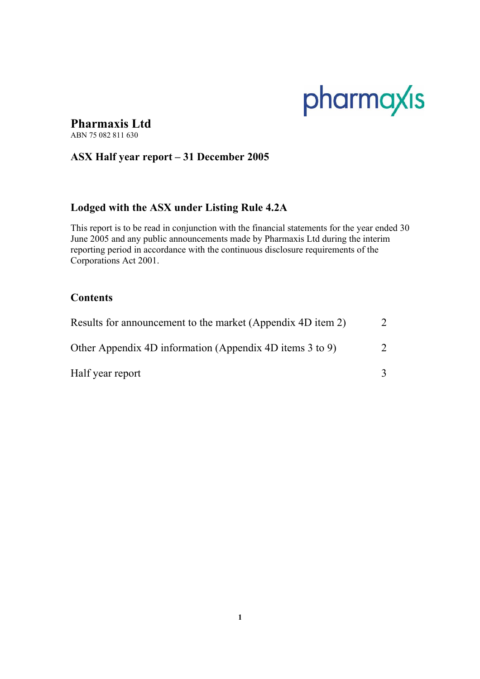# pharmaxis

## **Pharmaxis Ltd**

ABN 75 082 811 630

## **ASX Half year report – 31 December 2005**

## **Lodged with the ASX under Listing Rule 4.2A**

This report is to be read in conjunction with the financial statements for the year ended 30 June 2005 and any public announcements made by Pharmaxis Ltd during the interim reporting period in accordance with the continuous disclosure requirements of the Corporations Act 2001.

## **Contents**

| Results for announcement to the market (Appendix 4D item 2) |               |
|-------------------------------------------------------------|---------------|
| Other Appendix 4D information (Appendix 4D items 3 to 9)    | $\mathcal{D}$ |
| Half year report                                            |               |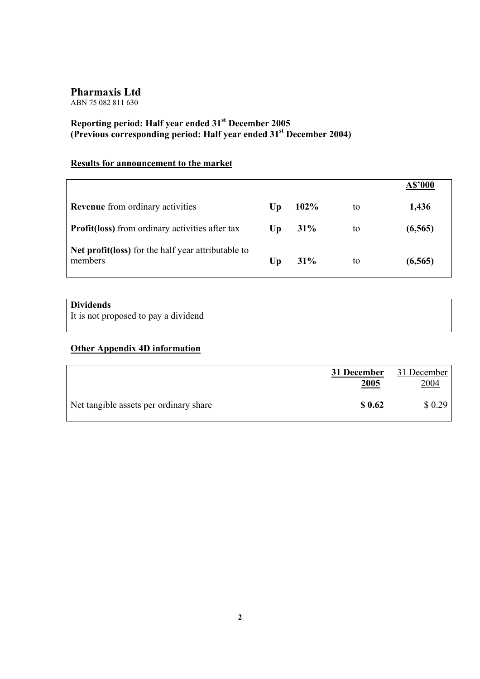ABN 75 082 811 630

## **Reporting period: Half year ended 31st December 2005 (Previous corresponding period: Half year ended 31st December 2004)**

## **Results for announcement to the market**

|                                                               |                        |      |    | A\$'000  |
|---------------------------------------------------------------|------------------------|------|----|----------|
| <b>Revenue</b> from ordinary activities                       | $\mathbf{U}\mathbf{p}$ | 102% | to | 1,436    |
| <b>Profit(loss)</b> from ordinary activities after tax        | Up                     | 31%  | to | (6, 565) |
| Net profit(loss) for the half year attributable to<br>members | Up                     | 31%  | to | (6, 565) |

## **Dividends**

It is not proposed to pay a dividend

## **Other Appendix 4D information**

|                                        | 31 December<br>2005 | 31 December<br>2004 |
|----------------------------------------|---------------------|---------------------|
| Net tangible assets per ordinary share | \$ 0.62             | \$0.29              |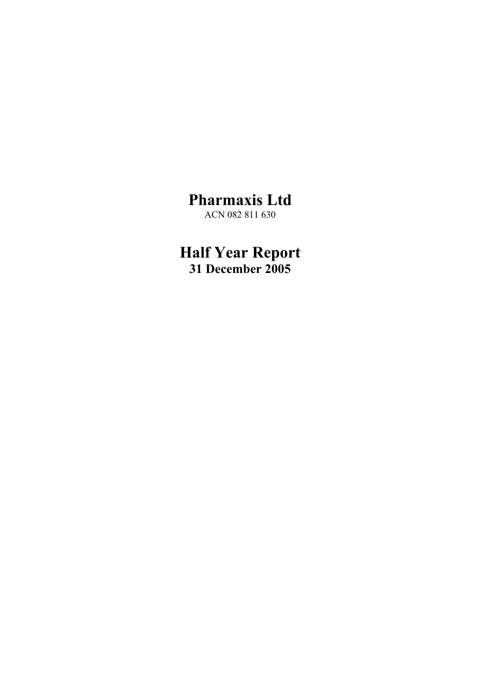**Pharmaxis Ltd**  ACN 082 811 630

**Half Year Report 31 December 2005**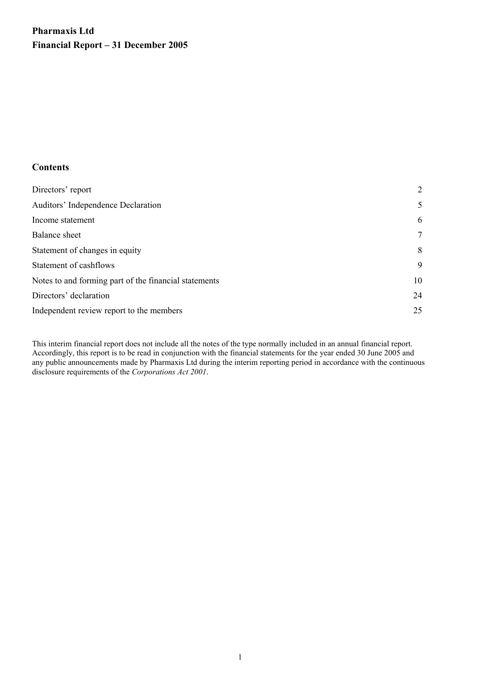## **Pharmaxis Ltd Financial Report – 31 December 2005**

## **Contents**

| Directors' report                                     | 2      |
|-------------------------------------------------------|--------|
| <b>Auditors' Independence Declaration</b>             | 5      |
| Income statement                                      | 6      |
| <b>Balance</b> sheet                                  | $\tau$ |
| Statement of changes in equity                        | 8      |
| Statement of cashflows                                | 9      |
| Notes to and forming part of the financial statements | 10     |
| Directors' declaration                                | 24     |
| Independent review report to the members              | 25     |

This interim financial report does not include all the notes of the type normally included in an annual financial report. Accordingly, this report is to be read in conjunction with the financial statements for the year ended 30 June 2005 and any public announcements made by Pharmaxis Ltd during the interim reporting period in accordance with the continuous disclosure requirements of the *Corporations Act 2001*.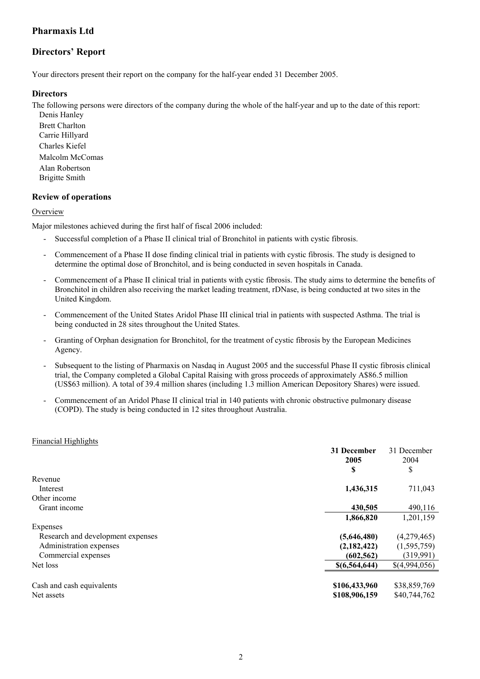## **Directors' Report**

Your directors present their report on the company for the half-year ended 31 December 2005.

## **Directors**

The following persons were directors of the company during the whole of the half-year and up to the date of this report:

Denis Hanley Brett Charlton Carrie Hillyard Charles Kiefel Malcolm McComas Alan Robertson Brigitte Smith

## **Review of operations**

## **Overview**

Major milestones achieved during the first half of fiscal 2006 included:

- Successful completion of a Phase II clinical trial of Bronchitol in patients with cystic fibrosis.
- Commencement of a Phase II dose finding clinical trial in patients with cystic fibrosis. The study is designed to determine the optimal dose of Bronchitol, and is being conducted in seven hospitals in Canada.
- Commencement of a Phase II clinical trial in patients with cystic fibrosis. The study aims to determine the benefits of Bronchitol in children also receiving the market leading treatment, rDNase, is being conducted at two sites in the United Kingdom.
- Commencement of the United States Aridol Phase III clinical trial in patients with suspected Asthma. The trial is being conducted in 28 sites throughout the United States.
- Granting of Orphan designation for Bronchitol, for the treatment of cystic fibrosis by the European Medicines Agency.
- Subsequent to the listing of Pharmaxis on Nasdaq in August 2005 and the successful Phase II cystic fibrosis clinical trial, the Company completed a Global Capital Raising with gross proceeds of approximately A\$86.5 million (US\$63 million). A total of 39.4 million shares (including 1.3 million American Depository Shares) were issued.
- Commencement of an Aridol Phase II clinical trial in 140 patients with chronic obstructive pulmonary disease (COPD). The study is being conducted in 12 sites throughout Australia.

## Financial Highlights

| <b>31 December</b> | 31 December<br>2004 |
|--------------------|---------------------|
|                    | \$                  |
|                    |                     |
| 1,436,315          | 711,043             |
|                    |                     |
| 430,505            | 490,116             |
| 1,866,820          | 1,201,159           |
|                    |                     |
| (5,646,480)        | (4,279,465)         |
| (2,182,422)        | (1, 595, 759)       |
| (602, 562)         | (319,991)           |
| \$(6,564,644)      | \$(4,994,056)       |
|                    |                     |
| \$106,433,960      | \$38,859,769        |
| \$108,906,159      | \$40,744,762        |
|                    | 2005<br>\$          |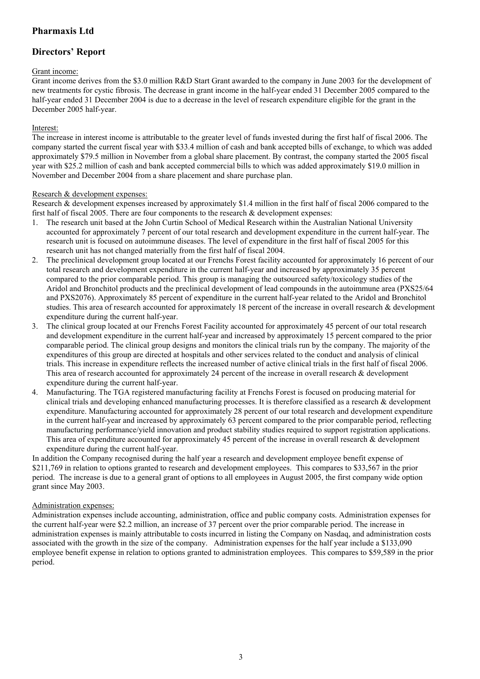## **Directors' Report**

## Grant income:

Grant income derives from the \$3.0 million R&D Start Grant awarded to the company in June 2003 for the development of new treatments for cystic fibrosis. The decrease in grant income in the half-year ended 31 December 2005 compared to the half-year ended 31 December 2004 is due to a decrease in the level of research expenditure eligible for the grant in the December 2005 half-year.

## Interest:

The increase in interest income is attributable to the greater level of funds invested during the first half of fiscal 2006. The company started the current fiscal year with \$33.4 million of cash and bank accepted bills of exchange, to which was added approximately \$79.5 million in November from a global share placement. By contrast, the company started the 2005 fiscal year with \$25.2 million of cash and bank accepted commercial bills to which was added approximately \$19.0 million in November and December 2004 from a share placement and share purchase plan.

## Research & development expenses:

Research & development expenses increased by approximately \$1.4 million in the first half of fiscal 2006 compared to the first half of fiscal 2005. There are four components to the research  $\&$  development expenses:

- 1. The research unit based at the John Curtin School of Medical Research within the Australian National University accounted for approximately 7 percent of our total research and development expenditure in the current half-year. The research unit is focused on autoimmune diseases. The level of expenditure in the first half of fiscal 2005 for this research unit has not changed materially from the first half of fiscal 2004.
- 2. The preclinical development group located at our Frenchs Forest facility accounted for approximately 16 percent of our total research and development expenditure in the current half-year and increased by approximately 35 percent compared to the prior comparable period. This group is managing the outsourced safety/toxicology studies of the Aridol and Bronchitol products and the preclinical development of lead compounds in the autoimmune area (PXS25/64 and PXS2076). Approximately 85 percent of expenditure in the current half-year related to the Aridol and Bronchitol studies. This area of research accounted for approximately 18 percent of the increase in overall research & development expenditure during the current half-year.
- 3. The clinical group located at our Frenchs Forest Facility accounted for approximately 45 percent of our total research and development expenditure in the current half-year and increased by approximately 15 percent compared to the prior comparable period. The clinical group designs and monitors the clinical trials run by the company. The majority of the expenditures of this group are directed at hospitals and other services related to the conduct and analysis of clinical trials. This increase in expenditure reflects the increased number of active clinical trials in the first half of fiscal 2006. This area of research accounted for approximately 24 percent of the increase in overall research & development expenditure during the current half-year.
- 4. Manufacturing. The TGA registered manufacturing facility at Frenchs Forest is focused on producing material for clinical trials and developing enhanced manufacturing processes. It is therefore classified as a research & development expenditure. Manufacturing accounted for approximately 28 percent of our total research and development expenditure in the current half-year and increased by approximately 63 percent compared to the prior comparable period, reflecting manufacturing performance/yield innovation and product stability studies required to support registration applications. This area of expenditure accounted for approximately 45 percent of the increase in overall research & development expenditure during the current half-year.

In addition the Company recognised during the half year a research and development employee benefit expense of \$211,769 in relation to options granted to research and development employees. This compares to \$33,567 in the prior period. The increase is due to a general grant of options to all employees in August 2005, the first company wide option grant since May 2003.

#### Administration expenses:

Administration expenses include accounting, administration, office and public company costs. Administration expenses for the current half-year were \$2.2 million, an increase of 37 percent over the prior comparable period. The increase in administration expenses is mainly attributable to costs incurred in listing the Company on Nasdaq, and administration costs associated with the growth in the size of the company. Administration expenses for the half year include a \$133,090 employee benefit expense in relation to options granted to administration employees. This compares to \$59,589 in the prior period.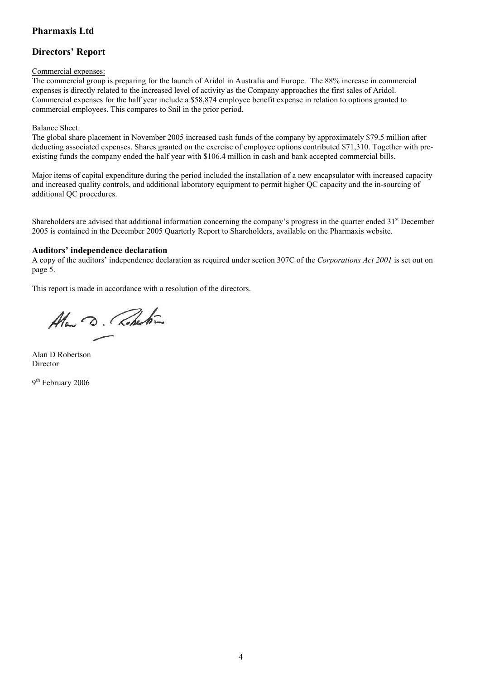## **Directors' Report**

#### Commercial expenses:

The commercial group is preparing for the launch of Aridol in Australia and Europe. The 88% increase in commercial expenses is directly related to the increased level of activity as the Company approaches the first sales of Aridol. Commercial expenses for the half year include a \$58,874 employee benefit expense in relation to options granted to commercial employees. This compares to \$nil in the prior period.

## Balance Sheet:

The global share placement in November 2005 increased cash funds of the company by approximately \$79.5 million after deducting associated expenses. Shares granted on the exercise of employee options contributed \$71,310. Together with preexisting funds the company ended the half year with \$106.4 million in cash and bank accepted commercial bills.

Major items of capital expenditure during the period included the installation of a new encapsulator with increased capacity and increased quality controls, and additional laboratory equipment to permit higher QC capacity and the in-sourcing of additional QC procedures.

Shareholders are advised that additional information concerning the company's progress in the quarter ended  $31<sup>st</sup>$  December 2005 is contained in the December 2005 Quarterly Report to Shareholders, available on the Pharmaxis website.

## **Auditors' independence declaration**

A copy of the auditors' independence declaration as required under section 307C of the *Corporations Act 2001* is set out on page 5.

This report is made in accordance with a resolution of the directors.

Alan D. Roberton

Alan D Robertson Director

9<sup>th</sup> February 2006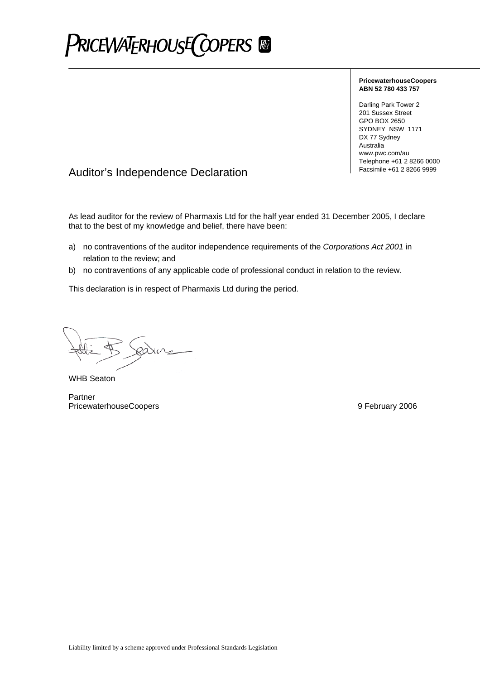## **PRICEWATERHOUSE COPERS**

#### **PricewaterhouseCoopers ABN 52 780 433 757**

Darling Park Tower 2 201 Sussex Street GPO BOX 2650 SYDNEY NSW 1171 DX 77 Sydney Australia www.pwc.com/au Telephone +61 2 8266 0000

## Facsimile +61 2 8266 9999 Auditor's Independence Declaration

As lead auditor for the review of Pharmaxis Ltd for the half year ended 31 December 2005, I declare that to the best of my knowledge and belief, there have been:

- a) no contraventions of the auditor independence requirements of the *Corporations Act 2001* in relation to the review; and
- b) no contraventions of any applicable code of professional conduct in relation to the review.

This declaration is in respect of Pharmaxis Ltd during the period.

WHB Seaton

Partner PricewaterhouseCoopers **9 February 2006 9 February 2006**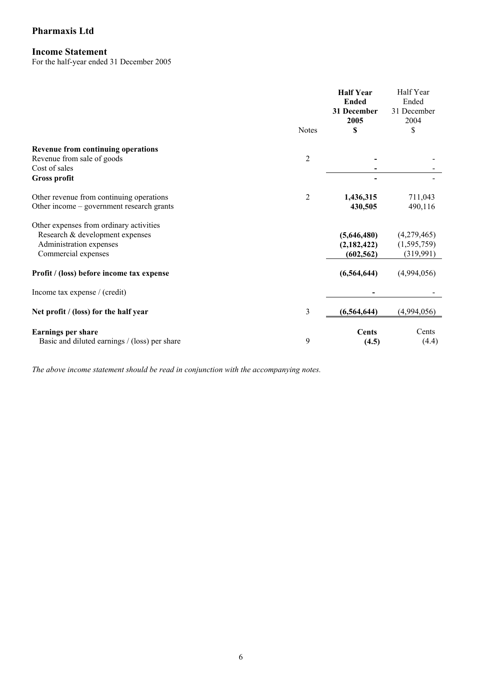## **Income Statement**

For the half-year ended 31 December 2005

|                                               | <b>Notes</b>   | <b>Half Year</b><br><b>Ended</b><br>31 December<br>2005<br>\$ | Half Year<br>Ended<br>31 December<br>2004<br>\$ |
|-----------------------------------------------|----------------|---------------------------------------------------------------|-------------------------------------------------|
| <b>Revenue from continuing operations</b>     |                |                                                               |                                                 |
| Revenue from sale of goods                    | $\overline{2}$ |                                                               |                                                 |
| Cost of sales                                 |                |                                                               |                                                 |
| <b>Gross profit</b>                           |                |                                                               |                                                 |
| Other revenue from continuing operations      | $\overline{2}$ | 1,436,315                                                     | 711,043                                         |
| Other income – government research grants     |                | 430,505                                                       | 490,116                                         |
| Other expenses from ordinary activities       |                |                                                               |                                                 |
| Research & development expenses               |                | (5,646,480)                                                   | (4,279,465)                                     |
| Administration expenses                       |                | (2,182,422)                                                   | (1, 595, 759)                                   |
| Commercial expenses                           |                | (602, 562)                                                    | (319,991)                                       |
| Profit / (loss) before income tax expense     |                | (6, 564, 644)                                                 | (4,994,056)                                     |
| Income tax expense / (credit)                 |                |                                                               |                                                 |
| Net profit / (loss) for the half year         | 3              | (6, 564, 644)                                                 | (4,994,056)                                     |
| <b>Earnings per share</b>                     |                | <b>Cents</b>                                                  | Cents                                           |
| Basic and diluted earnings / (loss) per share | 9              | (4.5)                                                         | (4.4)                                           |

*The above income statement should be read in conjunction with the accompanying notes.*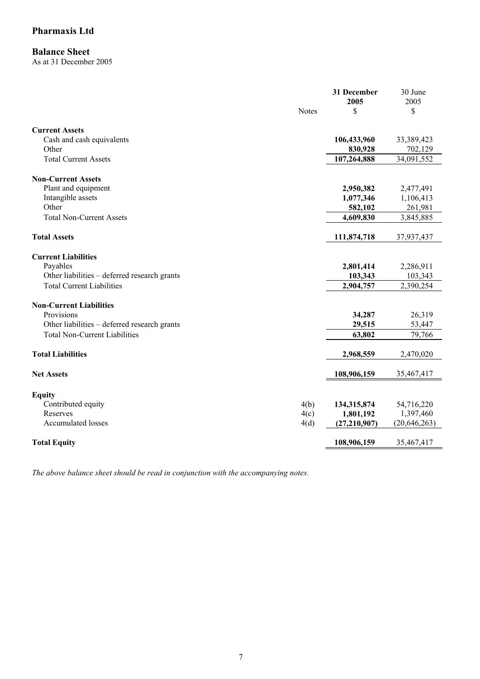## **Balance Sheet**

As at 31 December 2005

|                                              | 31 December<br>2005  | 30 June<br>2005      |
|----------------------------------------------|----------------------|----------------------|
|                                              | <b>Notes</b><br>S    | \$                   |
| <b>Current Assets</b>                        |                      |                      |
| Cash and cash equivalents                    | 106,433,960          | 33,389,423           |
| Other                                        | 830,928              | 702,129              |
| <b>Total Current Assets</b>                  | 107,264,888          | 34,091,552           |
| <b>Non-Current Assets</b>                    |                      |                      |
| Plant and equipment                          | 2,950,382            | 2,477,491            |
| Intangible assets                            | 1,077,346            | 1,106,413            |
| Other                                        | 582,102              | 261,981              |
| <b>Total Non-Current Assets</b>              | 4,609,830            | 3,845,885            |
| <b>Total Assets</b>                          | 111,874,718          | 37,937,437           |
|                                              |                      |                      |
| <b>Current Liabilities</b><br>Payables       |                      |                      |
| Other liabilities - deferred research grants | 2,801,414<br>103,343 | 2,286,911<br>103,343 |
| <b>Total Current Liabilities</b>             | 2,904,757            | 2,390,254            |
|                                              |                      |                      |
| <b>Non-Current Liabilities</b>               |                      |                      |
| Provisions                                   | 34,287               | 26,319               |
| Other liabilities - deferred research grants | 29,515               | 53,447               |
| <b>Total Non-Current Liabilities</b>         | 63,802               | 79,766               |
| <b>Total Liabilities</b>                     | 2,968,559            | 2,470,020            |
|                                              |                      |                      |
| <b>Net Assets</b>                            | 108,906,159          | 35,467,417           |
| <b>Equity</b>                                |                      |                      |
| Contributed equity                           | 4(b)<br>134,315,874  | 54,716,220           |
| Reserves                                     | 4(c)<br>1,801,192    | 1,397,460            |
| <b>Accumulated losses</b>                    | (27,210,907)<br>4(d) | (20, 646, 263)       |
| <b>Total Equity</b>                          | 108,906,159          | 35,467,417           |

*The above balance sheet should be read in conjunction with the accompanying notes.*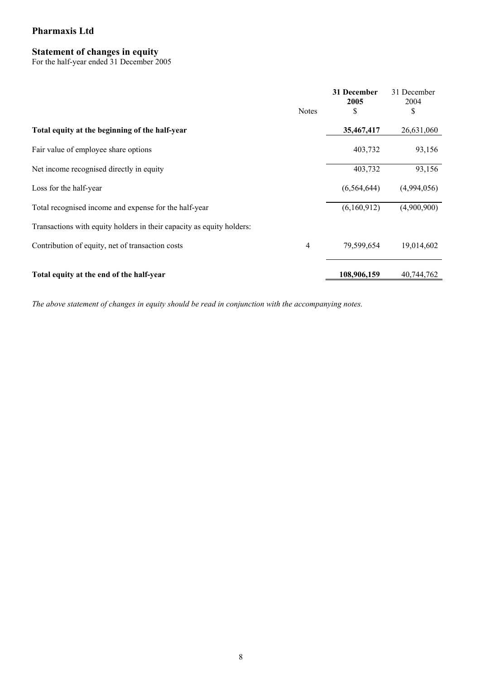## **Statement of changes in equity**

For the half-year ended 31 December 2005

|                                                                       | <b>Notes</b> | 31 December<br>2005<br>S | 31 December<br>2004<br>\$ |
|-----------------------------------------------------------------------|--------------|--------------------------|---------------------------|
| Total equity at the beginning of the half-year                        |              | 35,467,417               | 26,631,060                |
| Fair value of employee share options                                  |              | 403,732                  | 93,156                    |
| Net income recognised directly in equity                              |              | 403,732                  | 93,156                    |
| Loss for the half-year                                                |              | (6, 564, 644)            | (4,994,056)               |
| Total recognised income and expense for the half-year                 |              | (6,160,912)              | (4,900,900)               |
| Transactions with equity holders in their capacity as equity holders: |              |                          |                           |
| Contribution of equity, net of transaction costs                      | 4            | 79,599,654               | 19,014,602                |
| Total equity at the end of the half-year                              |              | 108,906,159              | 40,744,762                |

*The above statement of changes in equity should be read in conjunction with the accompanying notes.*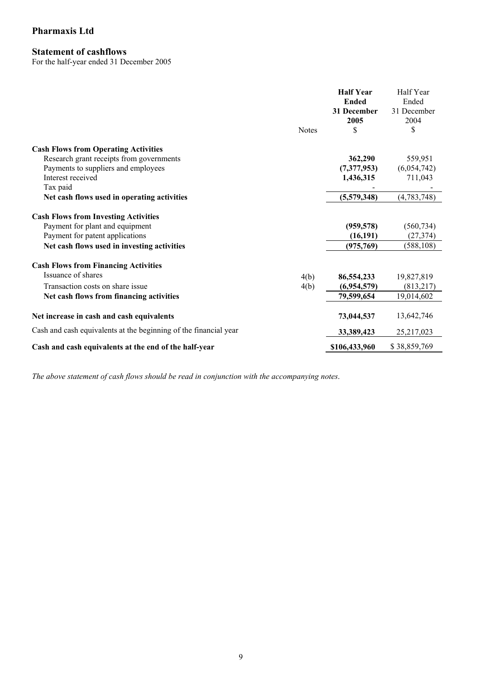## **Statement of cashflows**

For the half-year ended 31 December 2005

|                                                                  | <b>Notes</b> | <b>Half Year</b><br><b>Ended</b><br>31 December<br>2005<br>\$ | Half Year<br>Ended<br>31 December<br>2004<br>\$ |
|------------------------------------------------------------------|--------------|---------------------------------------------------------------|-------------------------------------------------|
| <b>Cash Flows from Operating Activities</b>                      |              |                                                               |                                                 |
| Research grant receipts from governments                         |              | 362,290                                                       | 559,951                                         |
| Payments to suppliers and employees                              |              | (7,377,953)                                                   | (6,054,742)                                     |
| Interest received                                                |              | 1,436,315                                                     | 711,043                                         |
| Tax paid                                                         |              |                                                               |                                                 |
| Net cash flows used in operating activities                      |              | (5,579,348)                                                   | (4, 783, 748)                                   |
| <b>Cash Flows from Investing Activities</b>                      |              |                                                               |                                                 |
| Payment for plant and equipment                                  |              | (959, 578)                                                    | (560, 734)                                      |
| Payment for patent applications                                  |              | (16, 191)                                                     | (27, 374)                                       |
| Net cash flows used in investing activities                      |              | (975, 769)                                                    | (588, 108)                                      |
| <b>Cash Flows from Financing Activities</b>                      |              |                                                               |                                                 |
| Issuance of shares                                               | 4(b)         | 86,554,233                                                    | 19,827,819                                      |
| Transaction costs on share issue                                 | 4(b)         | (6,954,579)                                                   | (813, 217)                                      |
| Net cash flows from financing activities                         |              | 79,599,654                                                    | 19,014,602                                      |
| Net increase in cash and cash equivalents                        |              | 73,044,537                                                    | 13,642,746                                      |
| Cash and cash equivalents at the beginning of the financial year |              | 33,389,423                                                    | 25,217,023                                      |
| Cash and cash equivalents at the end of the half-year            |              | \$106,433,960                                                 | \$38,859,769                                    |

*The above statement of cash flows should be read in conjunction with the accompanying notes*.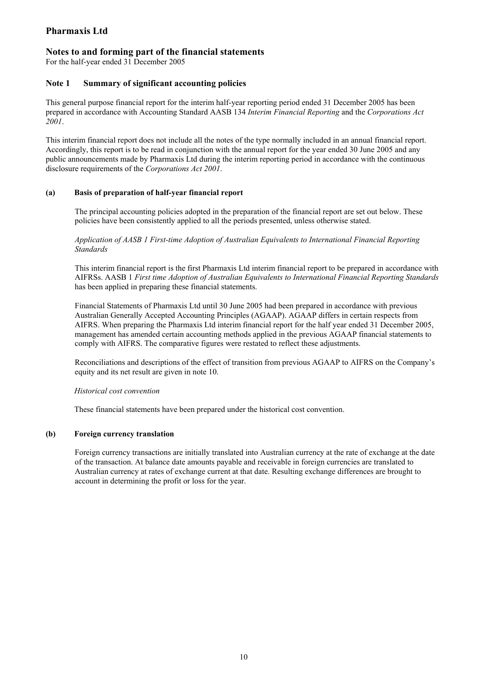## **Notes to and forming part of the financial statements**

For the half-year ended 31 December 2005

## **Note 1 Summary of significant accounting policies**

This general purpose financial report for the interim half-year reporting period ended 31 December 2005 has been prepared in accordance with Accounting Standard AASB 134 *Interim Financial Reporting* and the *Corporations Act 2001*.

This interim financial report does not include all the notes of the type normally included in an annual financial report. Accordingly, this report is to be read in conjunction with the annual report for the year ended 30 June 2005 and any public announcements made by Pharmaxis Ltd during the interim reporting period in accordance with the continuous disclosure requirements of the *Corporations Act 2001*.

#### **(a) Basis of preparation of half-year financial report**

The principal accounting policies adopted in the preparation of the financial report are set out below. These policies have been consistently applied to all the periods presented, unless otherwise stated.

*Application of AASB 1 First-time Adoption of Australian Equivalents to International Financial Reporting Standards* 

This interim financial report is the first Pharmaxis Ltd interim financial report to be prepared in accordance with AIFRSs. AASB 1 *First time Adoption of Australian Equivalents to International Financial Reporting Standards* has been applied in preparing these financial statements.

Financial Statements of Pharmaxis Ltd until 30 June 2005 had been prepared in accordance with previous Australian Generally Accepted Accounting Principles (AGAAP). AGAAP differs in certain respects from AIFRS. When preparing the Pharmaxis Ltd interim financial report for the half year ended 31 December 2005, management has amended certain accounting methods applied in the previous AGAAP financial statements to comply with AIFRS. The comparative figures were restated to reflect these adjustments.

Reconciliations and descriptions of the effect of transition from previous AGAAP to AIFRS on the Company's equity and its net result are given in note 10.

#### *Historical cost convention*

These financial statements have been prepared under the historical cost convention.

#### **(b) Foreign currency translation**

Foreign currency transactions are initially translated into Australian currency at the rate of exchange at the date of the transaction. At balance date amounts payable and receivable in foreign currencies are translated to Australian currency at rates of exchange current at that date. Resulting exchange differences are brought to account in determining the profit or loss for the year.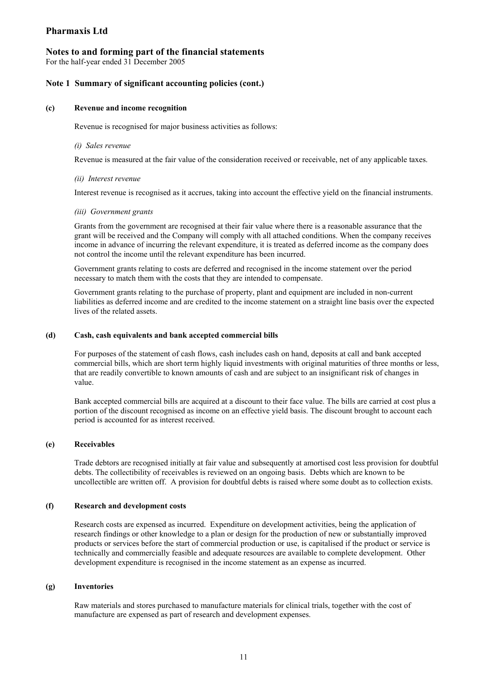## **Notes to and forming part of the financial statements**

For the half-year ended 31 December 2005

#### **Note 1 Summary of significant accounting policies (cont.)**

#### **(c) Revenue and income recognition**

Revenue is recognised for major business activities as follows:

#### *(i) Sales revenue*

Revenue is measured at the fair value of the consideration received or receivable, net of any applicable taxes.

#### *(ii) Interest revenue*

Interest revenue is recognised as it accrues, taking into account the effective yield on the financial instruments.

#### *(iii) Government grants*

Grants from the government are recognised at their fair value where there is a reasonable assurance that the grant will be received and the Company will comply with all attached conditions. When the company receives income in advance of incurring the relevant expenditure, it is treated as deferred income as the company does not control the income until the relevant expenditure has been incurred.

Government grants relating to costs are deferred and recognised in the income statement over the period necessary to match them with the costs that they are intended to compensate.

Government grants relating to the purchase of property, plant and equipment are included in non-current liabilities as deferred income and are credited to the income statement on a straight line basis over the expected lives of the related assets.

#### **(d) Cash, cash equivalents and bank accepted commercial bills**

For purposes of the statement of cash flows, cash includes cash on hand, deposits at call and bank accepted commercial bills, which are short term highly liquid investments with original maturities of three months or less, that are readily convertible to known amounts of cash and are subject to an insignificant risk of changes in value.

Bank accepted commercial bills are acquired at a discount to their face value. The bills are carried at cost plus a portion of the discount recognised as income on an effective yield basis. The discount brought to account each period is accounted for as interest received.

#### **(e) Receivables**

Trade debtors are recognised initially at fair value and subsequently at amortised cost less provision for doubtful debts. The collectibility of receivables is reviewed on an ongoing basis. Debts which are known to be uncollectible are written off. A provision for doubtful debts is raised where some doubt as to collection exists.

#### **(f) Research and development costs**

Research costs are expensed as incurred. Expenditure on development activities, being the application of research findings or other knowledge to a plan or design for the production of new or substantially improved products or services before the start of commercial production or use, is capitalised if the product or service is technically and commercially feasible and adequate resources are available to complete development. Other development expenditure is recognised in the income statement as an expense as incurred.

#### **(g) Inventories**

Raw materials and stores purchased to manufacture materials for clinical trials, together with the cost of manufacture are expensed as part of research and development expenses.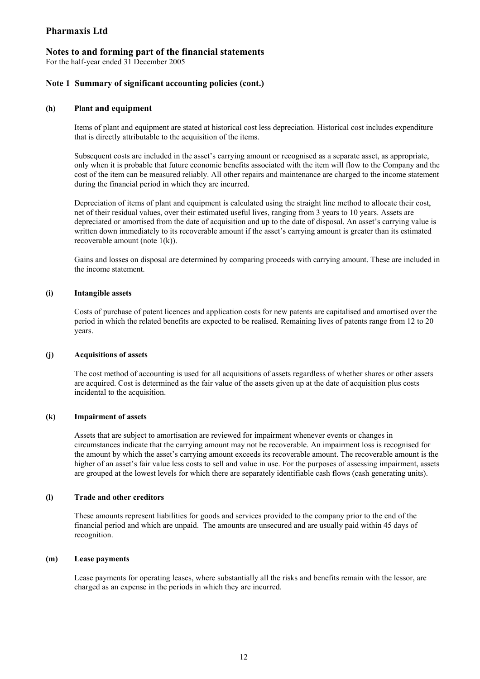#### **Notes to and forming part of the financial statements**

For the half-year ended 31 December 2005

#### **Note 1 Summary of significant accounting policies (cont.)**

#### **(h) Plant and equipment**

Items of plant and equipment are stated at historical cost less depreciation. Historical cost includes expenditure that is directly attributable to the acquisition of the items.

Subsequent costs are included in the asset's carrying amount or recognised as a separate asset, as appropriate, only when it is probable that future economic benefits associated with the item will flow to the Company and the cost of the item can be measured reliably. All other repairs and maintenance are charged to the income statement during the financial period in which they are incurred.

Depreciation of items of plant and equipment is calculated using the straight line method to allocate their cost, net of their residual values, over their estimated useful lives, ranging from 3 years to 10 years. Assets are depreciated or amortised from the date of acquisition and up to the date of disposal. An asset's carrying value is written down immediately to its recoverable amount if the asset's carrying amount is greater than its estimated recoverable amount (note 1(k)).

Gains and losses on disposal are determined by comparing proceeds with carrying amount. These are included in the income statement.

#### **(i) Intangible assets**

Costs of purchase of patent licences and application costs for new patents are capitalised and amortised over the period in which the related benefits are expected to be realised. Remaining lives of patents range from 12 to 20 years.

#### **(j) Acquisitions of assets**

The cost method of accounting is used for all acquisitions of assets regardless of whether shares or other assets are acquired. Cost is determined as the fair value of the assets given up at the date of acquisition plus costs incidental to the acquisition.

#### **(k) Impairment of assets**

Assets that are subject to amortisation are reviewed for impairment whenever events or changes in circumstances indicate that the carrying amount may not be recoverable. An impairment loss is recognised for the amount by which the asset's carrying amount exceeds its recoverable amount. The recoverable amount is the higher of an asset's fair value less costs to sell and value in use. For the purposes of assessing impairment, assets are grouped at the lowest levels for which there are separately identifiable cash flows (cash generating units).

#### **(l) Trade and other creditors**

These amounts represent liabilities for goods and services provided to the company prior to the end of the financial period and which are unpaid. The amounts are unsecured and are usually paid within 45 days of recognition.

#### **(m) Lease payments**

Lease payments for operating leases, where substantially all the risks and benefits remain with the lessor, are charged as an expense in the periods in which they are incurred.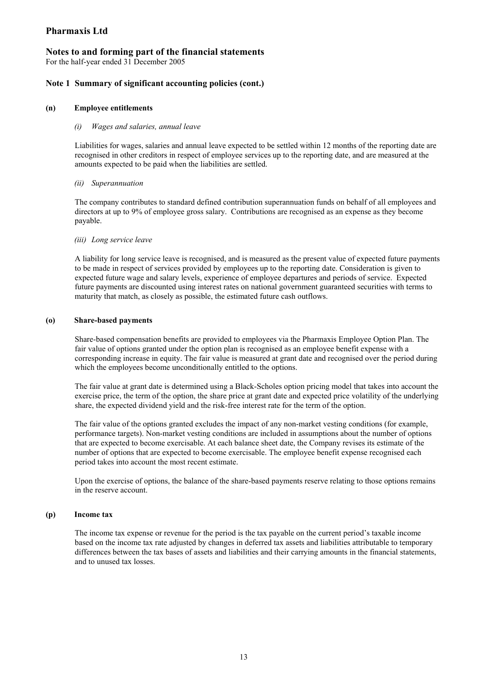## **Notes to and forming part of the financial statements**

For the half-year ended 31 December 2005

## **Note 1 Summary of significant accounting policies (cont.)**

#### **(n) Employee entitlements**

#### *(i) Wages and salaries, annual leave*

Liabilities for wages, salaries and annual leave expected to be settled within 12 months of the reporting date are recognised in other creditors in respect of employee services up to the reporting date, and are measured at the amounts expected to be paid when the liabilities are settled.

#### *(ii) Superannuation*

The company contributes to standard defined contribution superannuation funds on behalf of all employees and directors at up to 9% of employee gross salary. Contributions are recognised as an expense as they become payable.

#### *(iii) Long service leave*

A liability for long service leave is recognised, and is measured as the present value of expected future payments to be made in respect of services provided by employees up to the reporting date. Consideration is given to expected future wage and salary levels, experience of employee departures and periods of service. Expected future payments are discounted using interest rates on national government guaranteed securities with terms to maturity that match, as closely as possible, the estimated future cash outflows.

#### **(o) Share-based payments**

Share-based compensation benefits are provided to employees via the Pharmaxis Employee Option Plan. The fair value of options granted under the option plan is recognised as an employee benefit expense with a corresponding increase in equity. The fair value is measured at grant date and recognised over the period during which the employees become unconditionally entitled to the options.

The fair value at grant date is determined using a Black-Scholes option pricing model that takes into account the exercise price, the term of the option, the share price at grant date and expected price volatility of the underlying share, the expected dividend yield and the risk-free interest rate for the term of the option.

The fair value of the options granted excludes the impact of any non-market vesting conditions (for example, performance targets). Non-market vesting conditions are included in assumptions about the number of options that are expected to become exercisable. At each balance sheet date, the Company revises its estimate of the number of options that are expected to become exercisable. The employee benefit expense recognised each period takes into account the most recent estimate.

Upon the exercise of options, the balance of the share-based payments reserve relating to those options remains in the reserve account.

#### **(p) Income tax**

The income tax expense or revenue for the period is the tax payable on the current period's taxable income based on the income tax rate adjusted by changes in deferred tax assets and liabilities attributable to temporary differences between the tax bases of assets and liabilities and their carrying amounts in the financial statements, and to unused tax losses.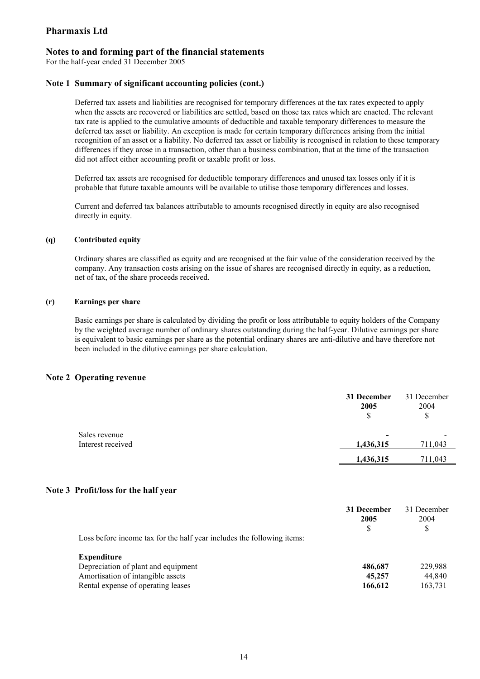## **Notes to and forming part of the financial statements**

For the half-year ended 31 December 2005

#### **Note 1 Summary of significant accounting policies (cont.)**

Deferred tax assets and liabilities are recognised for temporary differences at the tax rates expected to apply when the assets are recovered or liabilities are settled, based on those tax rates which are enacted. The relevant tax rate is applied to the cumulative amounts of deductible and taxable temporary differences to measure the deferred tax asset or liability. An exception is made for certain temporary differences arising from the initial recognition of an asset or a liability. No deferred tax asset or liability is recognised in relation to these temporary differences if they arose in a transaction, other than a business combination, that at the time of the transaction did not affect either accounting profit or taxable profit or loss.

Deferred tax assets are recognised for deductible temporary differences and unused tax losses only if it is probable that future taxable amounts will be available to utilise those temporary differences and losses.

Current and deferred tax balances attributable to amounts recognised directly in equity are also recognised directly in equity.

#### **(q) Contributed equity**

Ordinary shares are classified as equity and are recognised at the fair value of the consideration received by the company. Any transaction costs arising on the issue of shares are recognised directly in equity, as a reduction, net of tax, of the share proceeds received.

#### **(r) Earnings per share**

Basic earnings per share is calculated by dividing the profit or loss attributable to equity holders of the Company by the weighted average number of ordinary shares outstanding during the half-year. Dilutive earnings per share is equivalent to basic earnings per share as the potential ordinary shares are anti-dilutive and have therefore not been included in the dilutive earnings per share calculation.

#### **Note 2 Operating revenue**

|                                    | 31 December<br>2005<br>S              | 31 December<br>2004<br>\$ |
|------------------------------------|---------------------------------------|---------------------------|
| Sales revenue<br>Interest received | $\overline{\phantom{0}}$<br>1,436,315 | 711,043                   |
|                                    | 1,436,315                             | 711,043                   |

#### **Note 3 Profit/loss for the half year**

|                                                                        | 31 December<br>2005<br>S | 31 December<br>2004<br>S |
|------------------------------------------------------------------------|--------------------------|--------------------------|
| Loss before income tax for the half year includes the following items: |                          |                          |
| <b>Expenditure</b>                                                     |                          |                          |
| Depreciation of plant and equipment                                    | 486,687                  | 229.988                  |
| Amortisation of intangible assets                                      | 45,257                   | 44.840                   |
| Rental expense of operating leases                                     | 166,612                  | 163,731                  |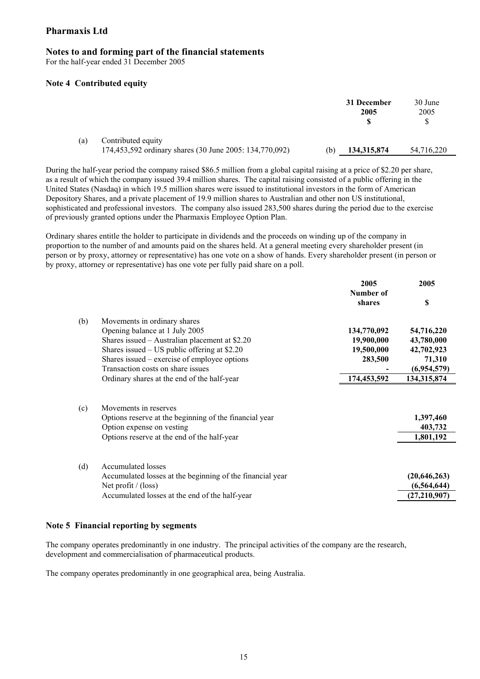## **Notes to and forming part of the financial statements**

For the half-year ended 31 December 2005

#### **Note 4 Contributed equity**

|     |                                                                               |     | 31 December<br>2005 | 30 June<br>2005<br>S |
|-----|-------------------------------------------------------------------------------|-----|---------------------|----------------------|
| (a) | Contributed equity<br>174,453,592 ordinary shares (30 June 2005: 134,770,092) | (b) | 134, 315, 874       | 54,716,220           |

During the half-year period the company raised \$86.5 million from a global capital raising at a price of \$2.20 per share, as a result of which the company issued 39.4 million shares. The capital raising consisted of a public offering in the United States (Nasdaq) in which 19.5 million shares were issued to institutional investors in the form of American Depository Shares, and a private placement of 19.9 million shares to Australian and other non US institutional, sophisticated and professional investors. The company also issued 283,500 shares during the period due to the exercise of previously granted options under the Pharmaxis Employee Option Plan.

Ordinary shares entitle the holder to participate in dividends and the proceeds on winding up of the company in proportion to the number of and amounts paid on the shares held. At a general meeting every shareholder present (in person or by proxy, attorney or representative) has one vote on a show of hands. Every shareholder present (in person or by proxy, attorney or representative) has one vote per fully paid share on a poll.

|     |                                                                                                                                                             | 2005<br>Number of | 2005                                              |
|-----|-------------------------------------------------------------------------------------------------------------------------------------------------------------|-------------------|---------------------------------------------------|
|     |                                                                                                                                                             | shares            | S                                                 |
| (b) | Movements in ordinary shares                                                                                                                                |                   |                                                   |
|     | Opening balance at 1 July 2005                                                                                                                              | 134,770,092       | 54,716,220                                        |
|     | Shares issued $-$ Australian placement at \$2.20                                                                                                            | 19,900,000        | 43,780,000                                        |
|     | Shares issued $-$ US public offering at \$2.20                                                                                                              | 19,500,000        | 42,702,923                                        |
|     | Shares issued $-$ exercise of employee options                                                                                                              | 283,500           | 71,310                                            |
|     | Transaction costs on share issues                                                                                                                           |                   | (6,954,579)                                       |
|     | Ordinary shares at the end of the half-year                                                                                                                 | 174,453,592       | 134,315,874                                       |
| (c) | Movements in reserves<br>Options reserve at the beginning of the financial year<br>Option expense on vesting<br>Options reserve at the end of the half-year |                   | 1,397,460<br>403,732<br>1,801,192                 |
| (d) | Accumulated losses<br>Accumulated losses at the beginning of the financial year<br>Net profit $/$ (loss)<br>Accumulated losses at the end of the half-year  |                   | (20, 646, 263)<br>(6, 564, 644)<br>(27, 210, 907) |

## **Note 5 Financial reporting by segments**

The company operates predominantly in one industry. The principal activities of the company are the research, development and commercialisation of pharmaceutical products.

The company operates predominantly in one geographical area, being Australia.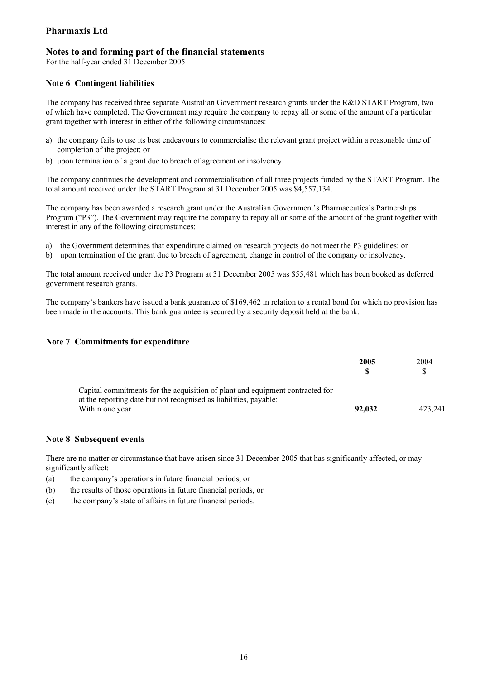## **Notes to and forming part of the financial statements**

For the half-year ended 31 December 2005

## **Note 6 Contingent liabilities**

The company has received three separate Australian Government research grants under the R&D START Program, two of which have completed. The Government may require the company to repay all or some of the amount of a particular grant together with interest in either of the following circumstances:

- a) the company fails to use its best endeavours to commercialise the relevant grant project within a reasonable time of completion of the project; or
- b) upon termination of a grant due to breach of agreement or insolvency.

The company continues the development and commercialisation of all three projects funded by the START Program. The total amount received under the START Program at 31 December 2005 was \$4,557,134.

The company has been awarded a research grant under the Australian Government's Pharmaceuticals Partnerships Program ("P3"). The Government may require the company to repay all or some of the amount of the grant together with interest in any of the following circumstances:

- a) the Government determines that expenditure claimed on research projects do not meet the P3 guidelines; or
- b) upon termination of the grant due to breach of agreement, change in control of the company or insolvency.

The total amount received under the P3 Program at 31 December 2005 was \$55,481 which has been booked as deferred government research grants.

The company's bankers have issued a bank guarantee of \$169,462 in relation to a rental bond for which no provision has been made in the accounts. This bank guarantee is secured by a security deposit held at the bank.

## **Note 7 Commitments for expenditure**

|                                                                                                                                                    | 2005   | 2004<br>\$. |
|----------------------------------------------------------------------------------------------------------------------------------------------------|--------|-------------|
| Capital commitments for the acquisition of plant and equipment contracted for<br>at the reporting date but not recognised as liabilities, payable: |        |             |
| Within one year                                                                                                                                    | 92,032 | 423.241     |

## **Note 8 Subsequent events**

There are no matter or circumstance that have arisen since 31 December 2005 that has significantly affected, or may significantly affect:

- (a) the company's operations in future financial periods, or
- (b) the results of those operations in future financial periods, or
- (c) the company's state of affairs in future financial periods.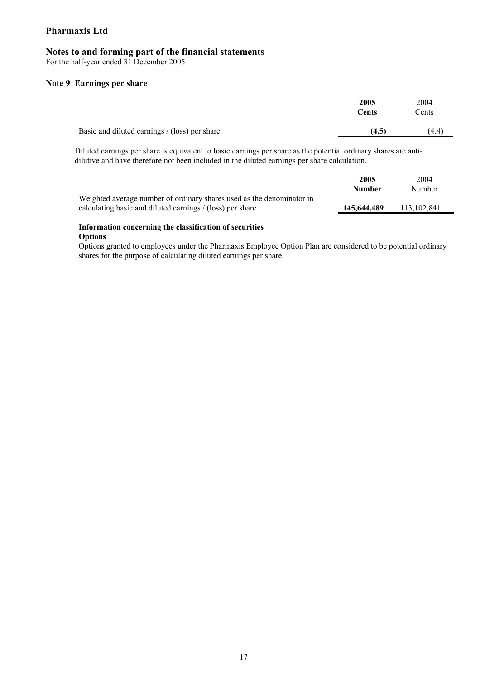## **Notes to and forming part of the financial statements**

For the half-year ended 31 December 2005

#### **Note 9 Earnings per share**

|                                               | 2005<br><b>Cents</b> | 2004<br>Cents |
|-----------------------------------------------|----------------------|---------------|
| Basic and diluted earnings / (loss) per share | (4.5)                | (4.4)         |

Diluted earnings per share is equivalent to basic earnings per share as the potential ordinary shares are antidilutive and have therefore not been included in the diluted earnings per share calculation.

|                                                                                                                                    | 2005<br>Number | 2004<br>Number |
|------------------------------------------------------------------------------------------------------------------------------------|----------------|----------------|
| Weighted average number of ordinary shares used as the denominator in<br>calculating basic and diluted earnings / (loss) per share | 145,644,489    | 113,102,841    |
|                                                                                                                                    |                |                |

#### **Information concerning the classification of securities Options**

Options granted to employees under the Pharmaxis Employee Option Plan are considered to be potential ordinary shares for the purpose of calculating diluted earnings per share.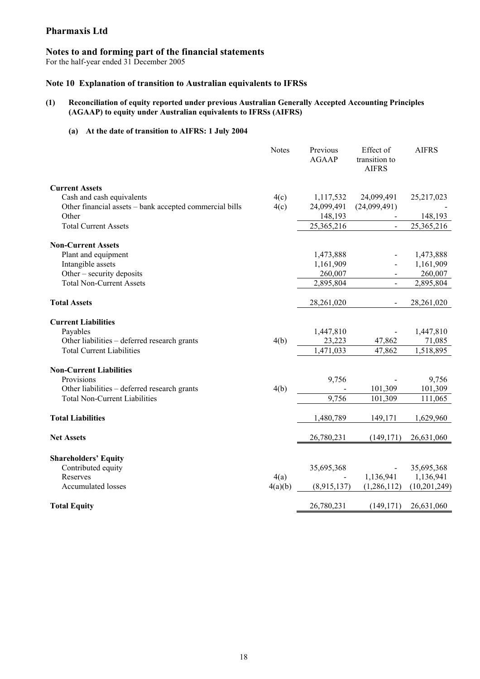## **Notes to and forming part of the financial statements**

For the half-year ended 31 December 2005

## **Note 10 Explanation of transition to Australian equivalents to IFRSs**

## **(1) Reconciliation of equity reported under previous Australian Generally Accepted Accounting Principles (AGAAP) to equity under Australian equivalents to IFRSs (AIFRS)**

## **(a) At the date of transition to AIFRS: 1 July 2004**

|                                                         | <b>Notes</b> | Previous<br><b>AGAAP</b> | Effect of<br>transition to<br><b>AIFRS</b> | <b>AIFRS</b> |
|---------------------------------------------------------|--------------|--------------------------|--------------------------------------------|--------------|
| <b>Current Assets</b>                                   |              |                          |                                            |              |
| Cash and cash equivalents                               | 4(c)         | 1,117,532                | 24,099,491                                 | 25,217,023   |
| Other financial assets - bank accepted commercial bills | 4(c)         | 24,099,491               | (24,099,491)                               |              |
| Other                                                   |              | 148,193                  |                                            | 148,193      |
| <b>Total Current Assets</b>                             |              | 25,365,216               |                                            | 25,365,216   |
| <b>Non-Current Assets</b>                               |              |                          |                                            |              |
| Plant and equipment                                     |              | 1,473,888                |                                            | 1,473,888    |
| Intangible assets                                       |              | 1,161,909                |                                            | 1,161,909    |
| Other – security deposits                               |              | 260,007                  | $\blacksquare$                             | 260,007      |
| <b>Total Non-Current Assets</b>                         |              | 2,895,804                | $\blacksquare$                             | 2,895,804    |
| <b>Total Assets</b>                                     |              | 28,261,020               | $\blacksquare$                             | 28,261,020   |
| <b>Current Liabilities</b>                              |              |                          |                                            |              |
| Payables                                                |              | 1,447,810                |                                            | 1,447,810    |
| Other liabilities - deferred research grants            | 4(b)         | 23,223                   | 47,862                                     | 71,085       |
| <b>Total Current Liabilities</b>                        |              | 1,471,033                | 47,862                                     | 1,518,895    |
| <b>Non-Current Liabilities</b>                          |              |                          |                                            |              |
| Provisions                                              |              | 9,756                    |                                            | 9,756        |
| Other liabilities - deferred research grants            | 4(b)         |                          | 101,309                                    | 101,309      |
| <b>Total Non-Current Liabilities</b>                    |              | 9,756                    | 101,309                                    | 111,065      |
| <b>Total Liabilities</b>                                |              | 1,480,789                | 149,171                                    | 1,629,960    |
| <b>Net Assets</b>                                       |              | 26,780,231               | (149, 171)                                 | 26,631,060   |
| <b>Shareholders' Equity</b>                             |              |                          |                                            |              |
| Contributed equity                                      |              | 35,695,368               |                                            | 35,695,368   |
| Reserves                                                | 4(a)         |                          | 1,136,941                                  | 1,136,941    |
| <b>Accumulated losses</b>                               | 4(a)(b)      | (8,915,137)              | (1, 286, 112)                              | (10,201,249) |
| <b>Total Equity</b>                                     |              | 26,780,231               | (149, 171)                                 | 26,631,060   |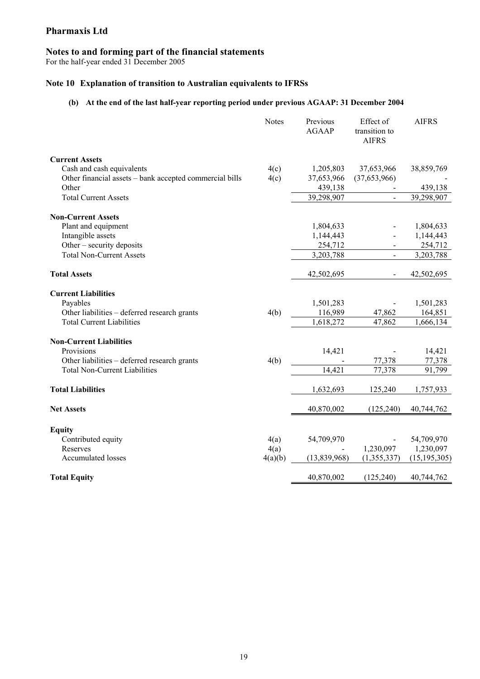## **Notes to and forming part of the financial statements**

For the half-year ended 31 December 2005

## **Note 10 Explanation of transition to Australian equivalents to IFRSs**

## **(b) At the end of the last half-year reporting period under previous AGAAP: 31 December 2004**

|                                                         | <b>Notes</b> | Previous<br><b>AGAAP</b> | Effect of<br>transition to<br><b>AIFRS</b> | <b>AIFRS</b>   |
|---------------------------------------------------------|--------------|--------------------------|--------------------------------------------|----------------|
| <b>Current Assets</b>                                   |              |                          |                                            |                |
| Cash and cash equivalents                               | 4(c)         | 1,205,803                | 37,653,966                                 | 38,859,769     |
| Other financial assets - bank accepted commercial bills | 4(c)         | 37,653,966               | (37,653,966)                               |                |
| Other                                                   |              | 439,138                  |                                            | 439,138        |
| <b>Total Current Assets</b>                             |              | 39,298,907               |                                            | 39,298,907     |
| <b>Non-Current Assets</b>                               |              |                          |                                            |                |
| Plant and equipment                                     |              | 1,804,633                |                                            | 1,804,633      |
| Intangible assets                                       |              | 1,144,443                |                                            | 1,144,443      |
| Other – security deposits                               |              | 254,712                  |                                            | 254,712        |
| <b>Total Non-Current Assets</b>                         |              | 3,203,788                |                                            | 3,203,788      |
| <b>Total Assets</b>                                     |              | 42,502,695               |                                            | 42,502,695     |
| <b>Current Liabilities</b>                              |              |                          |                                            |                |
| Payables                                                |              | 1,501,283                |                                            | 1,501,283      |
| Other liabilities – deferred research grants            | 4(b)         | 116,989                  | 47,862                                     | 164,851        |
| <b>Total Current Liabilities</b>                        |              | 1,618,272                | 47,862                                     | 1,666,134      |
| <b>Non-Current Liabilities</b>                          |              |                          |                                            |                |
| Provisions                                              |              | 14,421                   |                                            | 14,421         |
| Other liabilities - deferred research grants            | 4(b)         |                          | 77,378                                     | 77,378         |
| <b>Total Non-Current Liabilities</b>                    |              | 14,421                   | 77,378                                     | 91,799         |
| <b>Total Liabilities</b>                                |              | 1,632,693                | 125,240                                    | 1,757,933      |
| <b>Net Assets</b>                                       |              | 40,870,002               | (125, 240)                                 | 40,744,762     |
| <b>Equity</b>                                           |              |                          |                                            |                |
| Contributed equity                                      | 4(a)         | 54,709,970               |                                            | 54,709,970     |
| Reserves                                                | 4(a)         |                          | 1,230,097                                  | 1,230,097      |
| <b>Accumulated losses</b>                               | 4(a)(b)      | (13,839,968)             | (1,355,337)                                | (15, 195, 305) |
| <b>Total Equity</b>                                     |              | 40,870,002               | (125, 240)                                 | 40,744,762     |
|                                                         |              |                          |                                            |                |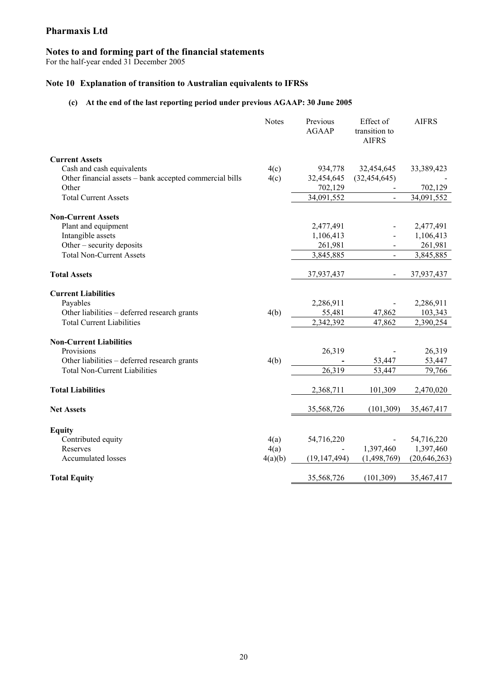## **Notes to and forming part of the financial statements**

For the half-year ended 31 December 2005

## **Note 10 Explanation of transition to Australian equivalents to IFRSs**

## **(c) At the end of the last reporting period under previous AGAAP: 30 June 2005**

|                                                         | <b>Notes</b> | Previous<br><b>AGAAP</b> | Effect of<br>transition to<br><b>AIFRS</b> | <b>AIFRS</b>   |
|---------------------------------------------------------|--------------|--------------------------|--------------------------------------------|----------------|
| <b>Current Assets</b>                                   |              |                          |                                            |                |
| Cash and cash equivalents                               | 4(c)         | 934,778                  | 32,454,645                                 | 33,389,423     |
| Other financial assets - bank accepted commercial bills | 4(c)         | 32,454,645               | (32, 454, 645)                             |                |
| Other                                                   |              | 702,129                  |                                            | 702,129        |
| <b>Total Current Assets</b>                             |              | 34,091,552               |                                            | 34,091,552     |
| <b>Non-Current Assets</b>                               |              |                          |                                            |                |
| Plant and equipment                                     |              | 2,477,491                |                                            | 2,477,491      |
| Intangible assets                                       |              | 1,106,413                |                                            | 1,106,413      |
| Other – security deposits                               |              | 261,981                  |                                            | 261,981        |
| <b>Total Non-Current Assets</b>                         |              | 3,845,885                |                                            | 3,845,885      |
| <b>Total Assets</b>                                     |              | 37,937,437               |                                            | 37,937,437     |
| <b>Current Liabilities</b>                              |              |                          |                                            |                |
| Payables                                                |              | 2,286,911                |                                            | 2,286,911      |
| Other liabilities - deferred research grants            | 4(b)         | 55,481                   | 47,862                                     | 103,343        |
| <b>Total Current Liabilities</b>                        |              | 2,342,392                | 47,862                                     | 2,390,254      |
| <b>Non-Current Liabilities</b>                          |              |                          |                                            |                |
| Provisions                                              |              | 26,319                   |                                            | 26,319         |
| Other liabilities - deferred research grants            | 4(b)         |                          | 53,447                                     | 53,447         |
| <b>Total Non-Current Liabilities</b>                    |              | 26,319                   | 53,447                                     | 79,766         |
| <b>Total Liabilities</b>                                |              | 2,368,711                | 101,309                                    | 2,470,020      |
| <b>Net Assets</b>                                       |              | 35,568,726               | (101, 309)                                 | 35,467,417     |
| <b>Equity</b>                                           |              |                          |                                            |                |
| Contributed equity                                      | 4(a)         | 54,716,220               |                                            | 54,716,220     |
| Reserves                                                | 4(a)         |                          | 1,397,460                                  | 1,397,460      |
| <b>Accumulated losses</b>                               | 4(a)(b)      | (19, 147, 494)           | (1,498,769)                                | (20, 646, 263) |
| <b>Total Equity</b>                                     |              | 35,568,726               | (101, 309)                                 | 35,467,417     |
|                                                         |              |                          |                                            |                |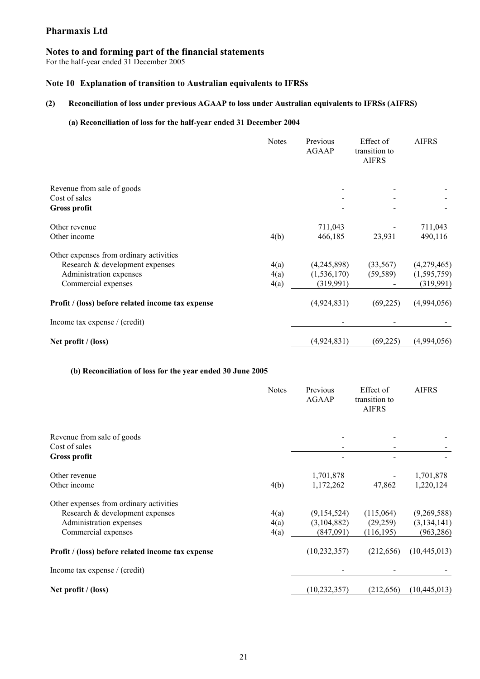## **Notes to and forming part of the financial statements**

For the half-year ended 31 December 2005

## **Note 10 Explanation of transition to Australian equivalents to IFRSs**

## **(2) Reconciliation of loss under previous AGAAP to loss under Australian equivalents to IFRSs (AIFRS)**

## **(a) Reconciliation of loss for the half-year ended 31 December 2004**

|                                                                                                                              | <b>Notes</b>         | Previous<br><b>AGAAP</b>                  | Effect of<br>transition to<br><b>AIFRS</b> | <b>AIFRS</b>                              |
|------------------------------------------------------------------------------------------------------------------------------|----------------------|-------------------------------------------|--------------------------------------------|-------------------------------------------|
| Revenue from sale of goods<br>Cost of sales<br><b>Gross profit</b>                                                           |                      |                                           |                                            |                                           |
| Other revenue<br>Other income                                                                                                | 4(b)                 | 711,043<br>466,185                        | 23,931                                     | 711,043<br>490,116                        |
| Other expenses from ordinary activities<br>Research & development expenses<br>Administration expenses<br>Commercial expenses | 4(a)<br>4(a)<br>4(a) | (4,245,898)<br>(1, 536, 170)<br>(319,991) | (33, 567)<br>(59, 589)                     | (4,279,465)<br>(1, 595, 759)<br>(319,991) |
| Profit / (loss) before related income tax expense                                                                            |                      | (4,924,831)                               | (69,225)                                   | (4,994,056)                               |
| Income tax expense / (credit)                                                                                                |                      |                                           |                                            |                                           |
| Net profit / (loss)                                                                                                          |                      | (4,924,831)                               | (69, 225)                                  | (4,994,056)                               |

## **(b) Reconciliation of loss for the year ended 30 June 2005**

|                                                   | <b>Notes</b> | Previous<br><b>AGAAP</b> | Effect of<br>transition to<br><b>AIFRS</b> | <b>AIFRS</b>   |
|---------------------------------------------------|--------------|--------------------------|--------------------------------------------|----------------|
| Revenue from sale of goods<br>Cost of sales       |              |                          |                                            |                |
| <b>Gross profit</b>                               |              |                          |                                            |                |
| Other revenue                                     |              | 1,701,878                |                                            | 1,701,878      |
| Other income                                      | 4(b)         | 1,172,262                | 47,862                                     | 1,220,124      |
| Other expenses from ordinary activities           |              |                          |                                            |                |
| Research & development expenses                   | 4(a)         | (9,154,524)              | (115,064)                                  | (9,269,588)    |
| Administration expenses                           | 4(a)         | (3,104,882)              | (29, 259)                                  | (3, 134, 141)  |
| Commercial expenses                               | 4(a)         | (847,091)                | (116, 195)                                 | (963, 286)     |
| Profit / (loss) before related income tax expense |              | (10, 232, 357)           | (212, 656)                                 | (10, 445, 013) |
| Income tax expense / (credit)                     |              |                          |                                            |                |
| Net profit $/$ (loss)                             |              | (10, 232, 357)           | (212, 656)                                 | (10, 445, 013) |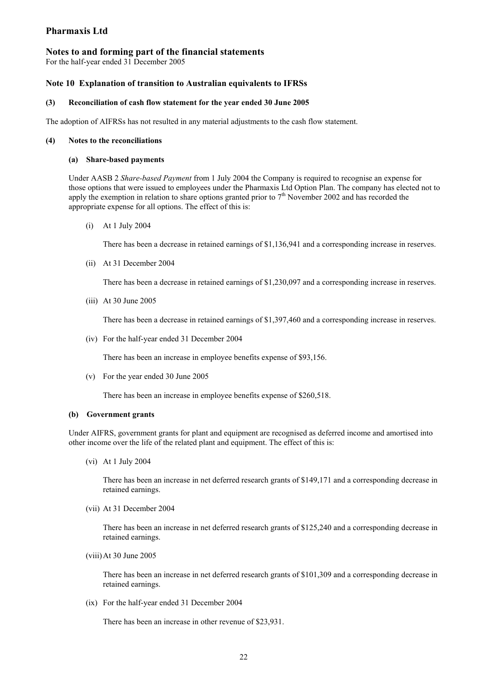## **Notes to and forming part of the financial statements**

For the half-year ended 31 December 2005

#### **Note 10 Explanation of transition to Australian equivalents to IFRSs**

#### **(3) Reconciliation of cash flow statement for the year ended 30 June 2005**

The adoption of AIFRSs has not resulted in any material adjustments to the cash flow statement.

#### **(4) Notes to the reconciliations**

#### **(a) Share-based payments**

Under AASB 2 *Share-based Payment* from 1 July 2004 the Company is required to recognise an expense for those options that were issued to employees under the Pharmaxis Ltd Option Plan. The company has elected not to apply the exemption in relation to share options granted prior to  $7<sup>th</sup>$  November 2002 and has recorded the appropriate expense for all options. The effect of this is:

(i) At 1 July 2004

There has been a decrease in retained earnings of \$1,136,941 and a corresponding increase in reserves.

(ii) At 31 December 2004

There has been a decrease in retained earnings of \$1,230,097 and a corresponding increase in reserves.

(iii) At 30 June 2005

There has been a decrease in retained earnings of \$1,397,460 and a corresponding increase in reserves.

(iv) For the half-year ended 31 December 2004

There has been an increase in employee benefits expense of \$93,156.

(v) For the year ended 30 June 2005

There has been an increase in employee benefits expense of \$260,518.

#### **(b) Government grants**

Under AIFRS, government grants for plant and equipment are recognised as deferred income and amortised into other income over the life of the related plant and equipment. The effect of this is:

(vi) At 1 July 2004

There has been an increase in net deferred research grants of \$149,171 and a corresponding decrease in retained earnings.

(vii) At 31 December 2004

There has been an increase in net deferred research grants of \$125,240 and a corresponding decrease in retained earnings.

(viii)At 30 June 2005

There has been an increase in net deferred research grants of \$101,309 and a corresponding decrease in retained earnings.

(ix) For the half-year ended 31 December 2004

There has been an increase in other revenue of \$23,931.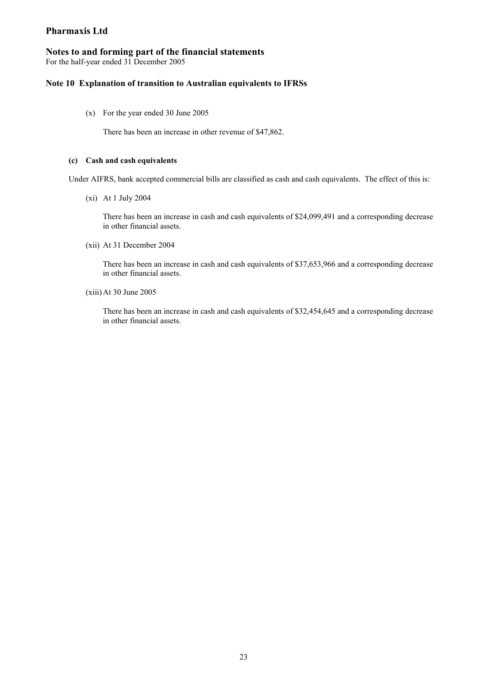## **Notes to and forming part of the financial statements**

For the half-year ended 31 December 2005

## **Note 10 Explanation of transition to Australian equivalents to IFRSs**

(x) For the year ended 30 June 2005

There has been an increase in other revenue of \$47,862.

#### **(c) Cash and cash equivalents**

Under AIFRS, bank accepted commercial bills are classified as cash and cash equivalents. The effect of this is:

(xi) At 1 July 2004

There has been an increase in cash and cash equivalents of \$24,099,491 and a corresponding decrease in other financial assets.

(xii) At 31 December 2004

There has been an increase in cash and cash equivalents of \$37,653,966 and a corresponding decrease in other financial assets.

(xiii)At 30 June 2005

There has been an increase in cash and cash equivalents of \$32,454,645 and a corresponding decrease in other financial assets.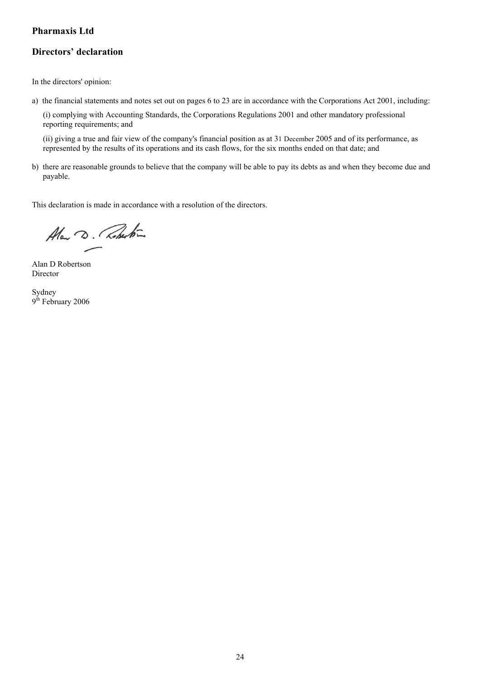## **Directors' declaration**

In the directors' opinion:

a) the financial statements and notes set out on pages 6 to 23 are in accordance with the Corporations Act 2001, including:

(i) complying with Accounting Standards, the Corporations Regulations 2001 and other mandatory professional reporting requirements; and

(ii) giving a true and fair view of the company's financial position as at 31 December 2005 and of its performance, as represented by the results of its operations and its cash flows, for the six months ended on that date; and

b) there are reasonable grounds to believe that the company will be able to pay its debts as and when they become due and payable.

This declaration is made in accordance with a resolution of the directors.

Alan D. Roberton

Alan D Robertson Director

Sydney 9<sup>th</sup> February 2006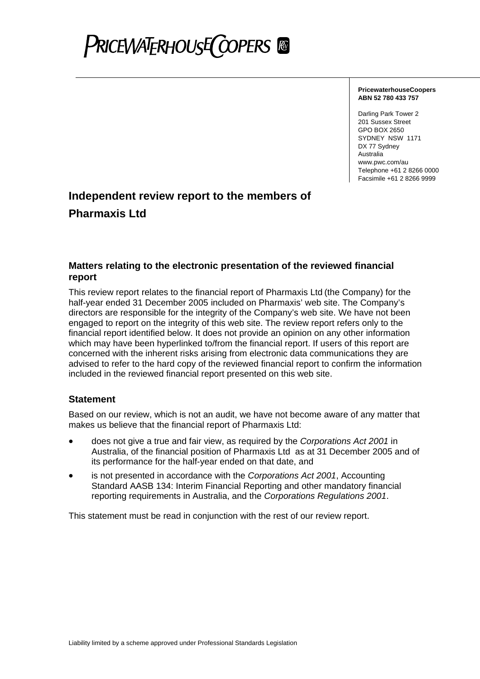## **PRICEWATERHOUSE COPERS**

#### **PricewaterhouseCoopers ABN 52 780 433 757**

Darling Park Tower 2 201 Sussex Street GPO BOX 2650 SYDNEY NSW 1171 DX 77 Sydney **Australia** www.pwc.com/au Telephone +61 2 8266 0000 Facsimile +61 2 8266 9999

## **Independent review report to the members of Pharmaxis Ltd**

## **Matters relating to the electronic presentation of the reviewed financial report**

This review report relates to the financial report of Pharmaxis Ltd (the Company) for the half-year ended 31 December 2005 included on Pharmaxis' web site. The Company's directors are responsible for the integrity of the Company's web site. We have not been engaged to report on the integrity of this web site. The review report refers only to the financial report identified below. It does not provide an opinion on any other information which may have been hyperlinked to/from the financial report. If users of this report are concerned with the inherent risks arising from electronic data communications they are advised to refer to the hard copy of the reviewed financial report to confirm the information included in the reviewed financial report presented on this web site.

## **Statement**

Based on our review, which is not an audit, we have not become aware of any matter that makes us believe that the financial report of Pharmaxis Ltd:

- does not give a true and fair view, as required by the *Corporations Act 2001* in Australia, of the financial position of Pharmaxis Ltd as at 31 December 2005 and of its performance for the half-year ended on that date, and
- is not presented in accordance with the *Corporations Act 2001*, Accounting Standard AASB 134: Interim Financial Reporting and other mandatory financial reporting requirements in Australia, and the *Corporations Regulations 2001*.

This statement must be read in conjunction with the rest of our review report.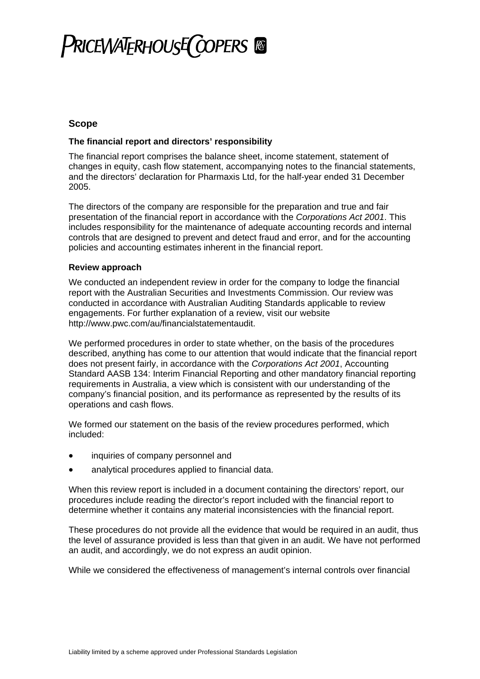## **PRICEWATERHOUSE COPERS**

## **Scope**

## **The financial report and directors' responsibility**

The financial report comprises the balance sheet, income statement, statement of changes in equity, cash flow statement, accompanying notes to the financial statements, and the directors' declaration for Pharmaxis Ltd, for the half-year ended 31 December 2005.

The directors of the company are responsible for the preparation and true and fair presentation of the financial report in accordance with the *Corporations Act 2001*. This includes responsibility for the maintenance of adequate accounting records and internal controls that are designed to prevent and detect fraud and error, and for the accounting policies and accounting estimates inherent in the financial report.

## **Review approach**

We conducted an independent review in order for the company to lodge the financial report with the Australian Securities and Investments Commission. Our review was conducted in accordance with Australian Auditing Standards applicable to review engagements. For further explanation of a review, visit our website http://www.pwc.com/au/financialstatementaudit.

We performed procedures in order to state whether, on the basis of the procedures described, anything has come to our attention that would indicate that the financial report does not present fairly, in accordance with the *Corporations Act 2001*, Accounting Standard AASB 134: Interim Financial Reporting and other mandatory financial reporting requirements in Australia, a view which is consistent with our understanding of the company's financial position, and its performance as represented by the results of its operations and cash flows.

We formed our statement on the basis of the review procedures performed, which included:

- inquiries of company personnel and
- analytical procedures applied to financial data.

When this review report is included in a document containing the directors' report, our procedures include reading the director's report included with the financial report to determine whether it contains any material inconsistencies with the financial report.

These procedures do not provide all the evidence that would be required in an audit, thus the level of assurance provided is less than that given in an audit. We have not performed an audit, and accordingly, we do not express an audit opinion.

While we considered the effectiveness of management's internal controls over financial